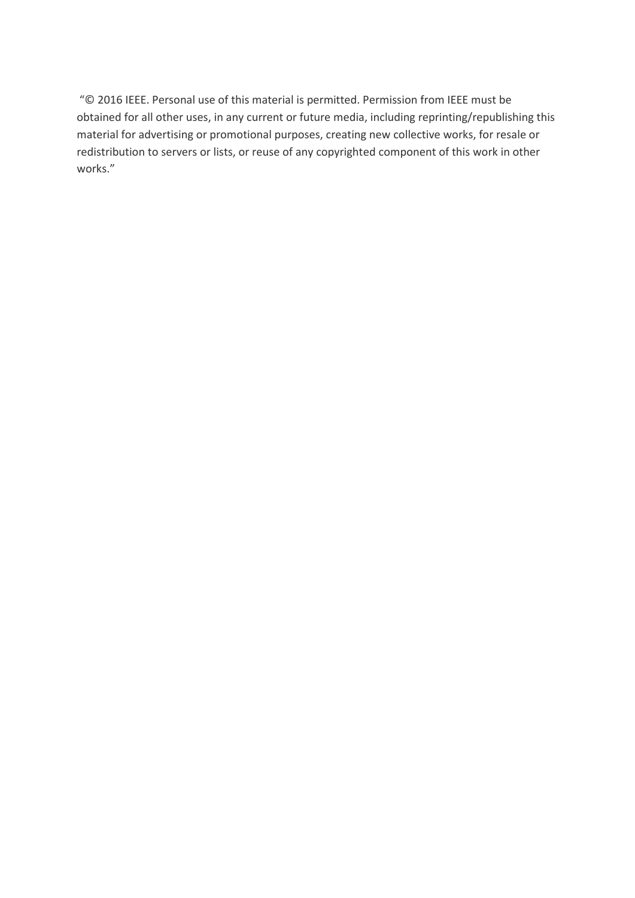"© 2016 IEEE. Personal use of this material is permitted. Permission from IEEE must be obtained for all other uses, in any current or future media, including reprinting/republishing this material for advertising or promotional purposes, creating new collective works, for resale or redistribution to servers or lists, or reuse of any copyrighted component of this work in other works."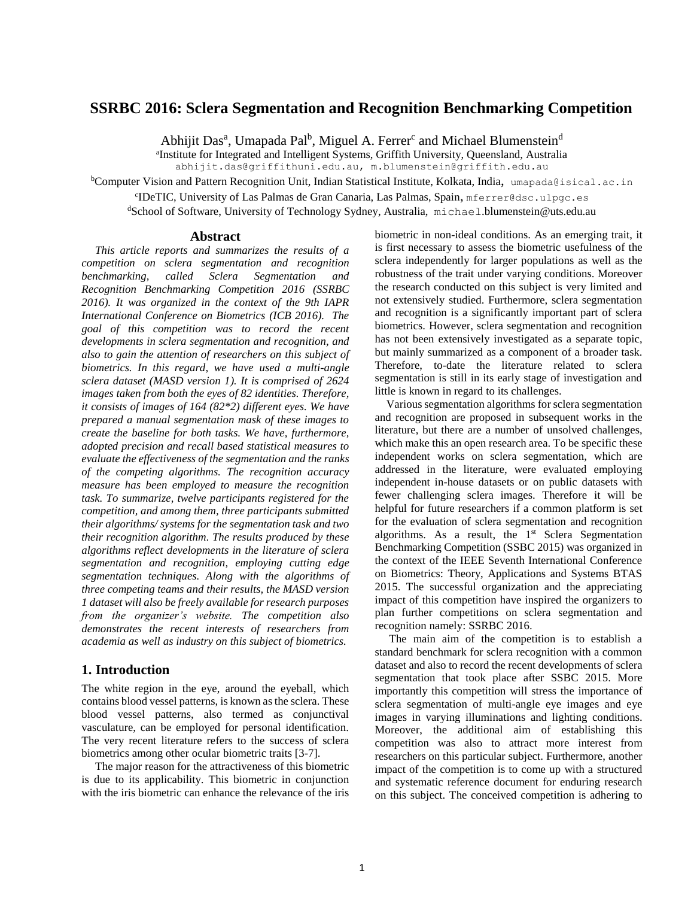# **SSRBC 2016: Sclera Segmentation and Recognition Benchmarking Competition**

Abhijit Das<sup>a</sup>, Umapada Pal<sup>b</sup>, Miguel A. Ferrer<sup>c</sup> and Michael Blumenstein<sup>d</sup>

a Institute for Integrated and Intelligent Systems, Griffith University, Queensland, Australia

abhijit.das@griffithuni.edu.au, [m.blumenstein@griffith.edu.au](mailto:m.blumenstein@griffith.edu.au)

bComputer Vision and Pattern Recognition Unit, Indian Statistical Institute, Kolkata, India, [umapada@isical.ac.in](mailto:umapada@isical.ac.in)

c IDeTIC, University of Las Palmas de Gran Canaria, Las Palmas, Spain, [mferrer@dsc.ulpgc.es](mailto:mferrer@dsc.ulpgc.es) dSchool of Software, University of Technology Sydney, Australia, michael.blumenstein@uts.edu.au

### **Abstract**

*This article reports and summarizes the results of a competition on sclera segmentation and recognition benchmarking, called Sclera Segmentation and Recognition Benchmarking Competition 2016 (SSRBC 2016). It was organized in the context of the 9th IAPR International Conference on Biometrics (ICB 2016). The goal of this competition was to record the recent developments in sclera segmentation and recognition, and also to gain the attention of researchers on this subject of biometrics. In this regard, we have used a multi-angle sclera dataset (MASD version 1). It is comprised of 2624 images taken from both the eyes of 82 identities. Therefore, it consists of images of 164 (82\*2) different eyes. We have prepared a manual segmentation mask of these images to create the baseline for both tasks. We have, furthermore, adopted precision and recall based statistical measures to evaluate the effectiveness of the segmentation and the ranks of the competing algorithms. The recognition accuracy measure has been employed to measure the recognition task. To summarize, twelve participants registered for the competition, and among them, three participants submitted their algorithms/ systems for the segmentation task and two their recognition algorithm. The results produced by these algorithms reflect developments in the literature of sclera segmentation and recognition, employing cutting edge segmentation techniques. Along with the algorithms of three competing teams and their results, the MASD version 1 dataset will also be freely available for research purposes from the organizer's website. The competition also demonstrates the recent interests of researchers from academia as well as industry on this subject of biometrics.* 

## **1. Introduction**

The white region in the eye, around the eyeball, which contains blood vessel patterns, is known as the sclera. These blood vessel patterns, also termed as conjunctival vasculature, can be employed for personal identification. The very recent literature refers to the success of sclera biometrics among other ocular biometric traits [3-7].

The major reason for the [attractiveness](https://www.google.com.au/search?q=define+admiration&sa=X&ei=G-snVZ-LHqG3mwWti4HACA&ved=0CCMQ_SowAA) of this biometric is due to its applicability. This biometric in conjunction with the iris biometric can enhance the relevance of the iris biometric in non-ideal conditions. As an emerging trait, it is first necessary to assess the biometric usefulness of the sclera independently for larger populations as well as the robustness of the trait under varying conditions. Moreover the research conducted on this subject is very limited and not extensively studied. Furthermore, sclera segmentation and recognition is a significantly important part of sclera biometrics. However, sclera segmentation and recognition has not been extensively investigated as a separate topic, but mainly summarized as a component of a broader task. Therefore, to-date the literature related to sclera segmentation is still in its early stage of investigation and little is known in regard to its challenges.

 Various segmentation algorithms for sclera segmentation and recognition are proposed in subsequent works in the literature, but there are a number of unsolved challenges, which make this an open research area. To be specific these independent works on sclera segmentation, which are addressed in the literature, were evaluated employing independent in-house datasets or on public datasets with fewer challenging sclera images. Therefore it will be helpful for future researchers if a common platform is set for the evaluation of sclera segmentation and recognition algorithms. As a result, the  $1<sup>st</sup>$  Sclera Segmentation Benchmarking Competition (SSBC 2015) was organized in the context of the IEEE Seventh International Conference on Biometrics: Theory, Applications and Systems BTAS 2015. The successful organization and the appreciating impact of this competition have inspired the organizers to plan further competitions on sclera segmentation and recognition namely: SSRBC 2016.

 The main aim of the competition is to establish a standard benchmark for sclera recognition with a common dataset and also to record the recent developments of sclera segmentation that took place after SSBC 2015. More importantly this competition will stress the importance of sclera segmentation of multi-angle eye images and eye images in varying illuminations and lighting conditions. Moreover, the additional aim of establishing this competition was also to attract more interest from researchers on this particular subject. Furthermore, another impact of the competition is to come up with a structured and systematic reference document for enduring research on this subject. The conceived competition is adhering to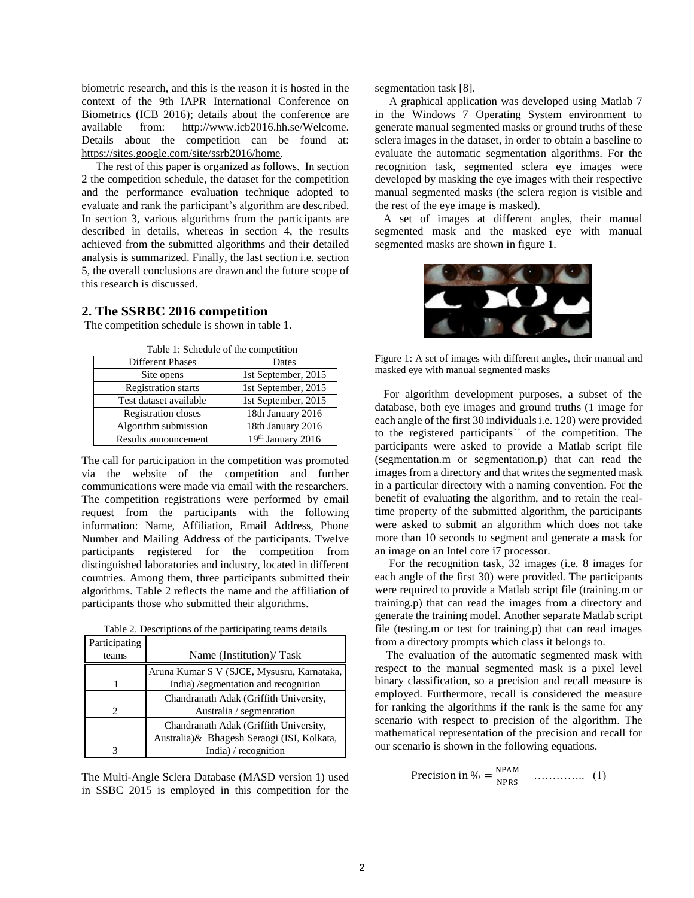biometric research, and this is the reason it is hosted in the context of the 9th IAPR International Conference on Biometrics (ICB 2016); details about the conference are available from: http://www.icb2016.hh.se/Welcome. Details about the competition can be found at: https://sites.google.com/site/ssrb2016/home.

 The rest of this paper is organized as follows. In section 2 the competition schedule, the dataset for the competition and the performance evaluation technique adopted to evaluate and rank the participant's algorithm are described. In section 3, various algorithms from the participants are described in details, whereas in section 4, the results achieved from the submitted algorithms and their detailed analysis is summarized. Finally, the last section i.e. section 5, the overall conclusions are drawn and the future scope of this research is discussed.

### **2. The SSRBC 2016 competition**

The competition schedule is shown in table 1.

| rable 1. Schedule of the competition |                     |  |
|--------------------------------------|---------------------|--|
| <b>Different Phases</b>              | Dates               |  |
| Site opens                           | 1st September, 2015 |  |
| <b>Registration starts</b>           | 1st September, 2015 |  |
| Test dataset available               | 1st September, 2015 |  |
| <b>Registration</b> closes           | 18th January 2016   |  |
| Algorithm submission                 | 18th January 2016   |  |
| Results announcement                 | 19th January 2016   |  |

Table 1: Schedule of the competition

The call for participation in the competition was promoted via the website of the competition and further communications were made via email with the researchers. The competition registrations were performed by email request from the participants with the following information: Name, Affiliation, Email Address, Phone Number and Mailing Address of the participants. Twelve participants registered for the competition from distinguished laboratories and industry, located in different countries. Among them, three participants submitted their algorithms. Table 2 reflects the name and the affiliation of participants those who submitted their algorithms.

| Participating |                                             |  |
|---------------|---------------------------------------------|--|
| teams         | Name (Institution)/ Task                    |  |
|               | Aruna Kumar S V (SJCE, Mysusru, Karnataka,  |  |
|               | India) /segmentation and recognition        |  |
|               | Chandranath Adak (Griffith University,      |  |
| 2             | Australia / segmentation                    |  |
|               | Chandranath Adak (Griffith University,      |  |
|               | Australia) & Bhagesh Seraogi (ISI, Kolkata, |  |
|               | India) / recognition                        |  |

The Multi-Angle Sclera Database (MASD version 1) used in SSBC 2015 is employed in this competition for the segmentation task [8].

 A graphical application was developed using Matlab 7 in the Windows 7 Operating System environment to generate manual segmented masks or ground truths of these sclera images in the dataset, in order to obtain a baseline to evaluate the automatic segmentation algorithms. For the recognition task, segmented sclera eye images were developed by masking the eye images with their respective manual segmented masks (the sclera region is visible and the rest of the eye image is masked).

 A set of images at different angles, their manual segmented mask and the masked eye with manual segmented masks are shown in figure 1.



Figure 1: A set of images with different angles, their manual and masked eye with manual segmented masks

 For algorithm development purposes, a subset of the database, both eye images and ground truths (1 image for each angle of the first 30 individuals i.e. 120) were provided to the registered participants`` of the competition. The participants were asked to provide a Matlab script file (segmentation.m or segmentation.p) that can read the images from a directory and that writes the segmented mask in a particular directory with a naming convention. For the benefit of evaluating the algorithm, and to retain the realtime property of the submitted algorithm, the participants were asked to submit an algorithm which does not take more than 10 seconds to segment and generate a mask for an image on an Intel core i7 processor.

 For the recognition task, 32 images (i.e. 8 images for each angle of the first 30) were provided. The participants were required to provide a Matlab script file (training.m or training.p) that can read the images from a directory and generate the training model. Another separate Matlab script file (testing.m or test for training.p) that can read images from a directory prompts which class it belongs to.

 The evaluation of the automatic segmented mask with respect to the manual segmented mask is a pixel level binary classification, so a precision and recall measure is employed. Furthermore, recall is considered the measure for ranking the algorithms if the rank is the same for any scenario with respect to precision of the algorithm. The mathematical representation of the precision and recall for our scenario is shown in the following equations.

$$
Precision in \% = \frac{NPAM}{NPRS} \quad \dots \dots \dots \dots \quad (1)
$$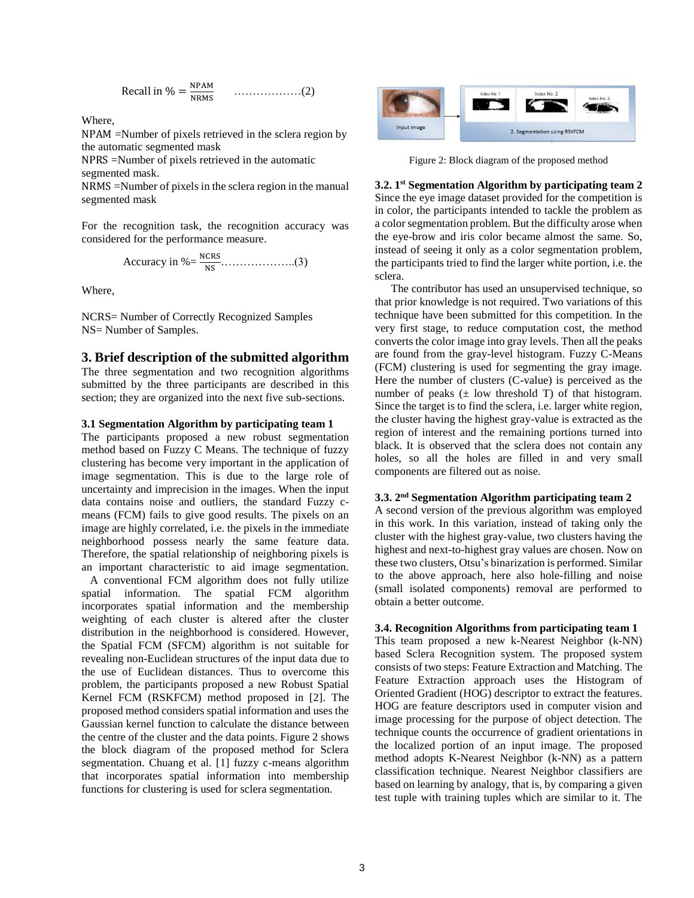Recall in 
$$
\% = \frac{\text{NPAM}}{\text{NRMS}}
$$
 ....... (2)

Where,

NPAM =Number of pixels retrieved in the sclera region by the automatic segmented mask

NPRS =Number of pixels retrieved in the automatic segmented mask.

NRMS =Number of pixels in the sclera region in the manual segmented mask

For the recognition task, the recognition accuracy was considered for the performance measure.

$$
Accuracy in % = \frac{NCRS}{NS} \dots (3)
$$

Where,

NCRS= Number of Correctly Recognized Samples NS= Number of Samples.

### **3. Brief description of the submitted algorithm**

The three segmentation and two recognition algorithms submitted by the three participants are described in this section; they are organized into the next five sub-sections.

### **3.1 Segmentation Algorithm by participating team 1**

The participants proposed a new robust segmentation method based on Fuzzy C Means. The technique of fuzzy clustering has become very important in the application of image segmentation. This is due to the large role of uncertainty and imprecision in the images. When the input data contains noise and outliers, the standard Fuzzy cmeans (FCM) fails to give good results. The pixels on an image are highly correlated, i.e. the pixels in the immediate neighborhood possess nearly the same feature data. Therefore, the spatial relationship of neighboring pixels is an important characteristic to aid image segmentation.

 A conventional FCM algorithm does not fully utilize spatial information. The spatial FCM algorithm incorporates spatial information and the membership weighting of each cluster is altered after the cluster distribution in the neighborhood is considered. However, the Spatial FCM (SFCM) algorithm is not suitable for revealing non-Euclidean structures of the input data due to the use of Euclidean distances. Thus to overcome this problem, the participants proposed a new Robust Spatial Kernel FCM (RSKFCM) method proposed in [2]. The proposed method considers spatial information and uses the Gaussian kernel function to calculate the distance between the centre of the cluster and the data points. Figure 2 shows the block diagram of the proposed method for Sclera segmentation. Chuang et al. [1] fuzzy c-means algorithm that incorporates spatial information into membership functions for clustering is used for sclera segmentation.



Figure 2: Block diagram of the proposed method

**3.2. 1 st Segmentation Algorithm by participating team 2** Since the eye image dataset provided for the competition is in color, the participants intended to tackle the problem as a color segmentation problem. But the difficulty arose when the eye-brow and iris color became almost the same. So, instead of seeing it only as a color segmentation problem, the participants tried to find the larger white portion, i.e. the sclera.

The contributor has used an unsupervised technique, so that prior knowledge is not required. Two variations of this technique have been submitted for this competition. In the very first stage, to reduce computation cost, the method converts the color image into gray levels. Then all the peaks are found from the gray-level histogram. Fuzzy C-Means (FCM) clustering is used for segmenting the gray image. Here the number of clusters (C-value) is perceived as the number of peaks  $(\pm \text{ low threshold } T)$  of that histogram. Since the target is to find the sclera, i.e. larger white region, the cluster having the highest gray-value is extracted as the region of interest and the remaining portions turned into black. It is observed that the sclera does not contain any holes, so all the holes are filled in and very small components are filtered out as noise.

#### **3.3. 2 nd Segmentation Algorithm participating team 2**

A second version of the previous algorithm was employed in this work. In this variation, instead of taking only the cluster with the highest gray-value, two clusters having the highest and next-to-highest gray values are chosen. Now on these two clusters, Otsu's binarization is performed. Similar to the above approach, here also hole-filling and noise (small isolated components) removal are performed to obtain a better outcome.

#### **3.4. Recognition Algorithms from participating team 1**

This team proposed a new k-Nearest Neighbor (k-NN) based Sclera Recognition system. The proposed system consists of two steps: Feature Extraction and Matching. The Feature Extraction approach uses the Histogram of Oriented Gradient (HOG) descriptor to extract the features. HOG are feature descriptors used in computer vision and image processing for the purpose of object detection. The technique counts the occurrence of gradient orientations in the localized portion of an input image. The proposed method adopts K-Nearest Neighbor (k-NN) as a pattern classification technique. Nearest Neighbor classifiers are based on learning by analogy, that is, by comparing a given test tuple with training tuples which are similar to it. The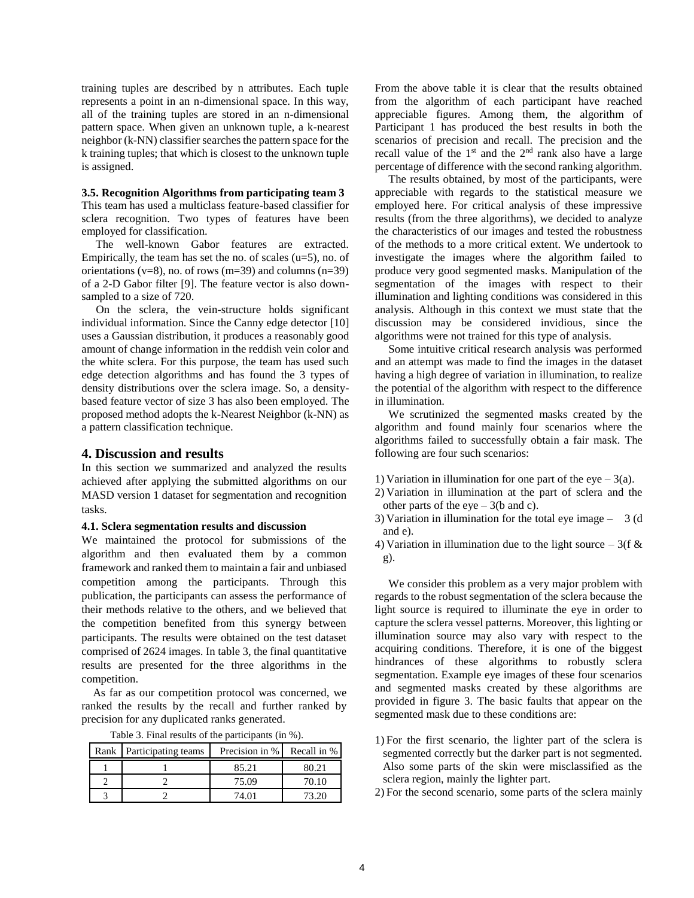training tuples are described by n attributes. Each tuple represents a point in an n-dimensional space. In this way, all of the training tuples are stored in an n-dimensional pattern space. When given an unknown tuple, a k-nearest neighbor (k-NN) classifier searches the pattern space for the k training tuples; that which is closest to the unknown tuple is assigned.

## **3.5. Recognition Algorithms from participating team 3**

This team has used a multiclass feature-based classifier for sclera recognition. Two types of features have been employed for classification.

 The well-known Gabor features are extracted. Empirically, the team has set the no. of scales  $(u=5)$ , no. of orientations ( $v=8$ ), no. of rows (m=39) and columns (n=39) of a 2-D Gabor filter [9]. The feature vector is also downsampled to a size of 720.

 On the sclera, the vein-structure holds significant individual information. Since the Canny edge detector [10] uses a Gaussian distribution, it produces a reasonably good amount of change information in the reddish vein color and the white sclera. For this purpose, the team has used such edge detection algorithms and has found the 3 types of density distributions over the sclera image. So, a densitybased feature vector of size 3 has also been employed. The proposed method adopts the k-Nearest Neighbor (k-NN) as a pattern classification technique.

### **4. Discussion and results**

In this section we summarized and analyzed the results achieved after applying the submitted algorithms on our MASD version 1 dataset for segmentation and recognition tasks.

#### **4.1. Sclera segmentation results and discussion**

We maintained the protocol for submissions of the algorithm and then evaluated them by a common framework and ranked them to maintain a fair and unbiased competition among the participants. Through this publication, the participants can assess the performance of their methods relative to the others, and we believed that the competition benefited from this synergy between participants. The results were obtained on the test dataset comprised of 2624 images. In table 3, the final quantitative results are presented for the three algorithms in the competition.

 As far as our competition protocol was concerned, we ranked the results by the recall and further ranked by precision for any duplicated ranks generated.

| Table 3. Final results of the participants (in %). |  |  |  |
|----------------------------------------------------|--|--|--|
|----------------------------------------------------|--|--|--|

| Rank Participating teams | Precision in % | Recall in % |
|--------------------------|----------------|-------------|
|                          | 85.21          | 80 21       |
|                          | 75.09          | 70.10       |
|                          |                |             |

From the above table it is clear that the results obtained from the algorithm of each participant have reached appreciable figures. Among them, the algorithm of Participant 1 has produced the best results in both the scenarios of precision and recall. The precision and the recall value of the 1st and the 2nd rank also have a large percentage of difference with the second ranking algorithm.

The results obtained, by most of the participants, were appreciable with regards to the statistical measure we employed here. For critical analysis of these impressive results (from the three algorithms), we decided to analyze the characteristics of our images and tested the robustness of the methods to a more critical extent. We undertook to investigate the images where the algorithm failed to produce very good segmented masks. Manipulation of the segmentation of the images with respect to their illumination and lighting conditions was considered in this analysis. Although in this context we must state that the discussion may be considered invidious, since the algorithms were not trained for this type of analysis.

Some intuitive critical research analysis was performed and an attempt was made to find the images in the dataset having a high degree of variation in illumination, to realize the potential of the algorithm with respect to the difference in illumination.

We scrutinized the segmented masks created by the algorithm and found mainly four scenarios where the algorithms failed to successfully obtain a fair mask. The following are four such scenarios:

- 1) Variation in illumination for one part of the eye  $-3(a)$ .
- 2) Variation in illumination at the part of sclera and the other parts of the eye  $-3(b \text{ and } c)$ .
- 3) Variation in illumination for the total eye image 3 (d and e).
- 4) Variation in illumination due to the light source  $-3(f \& )$ g).

We consider this problem as a very major problem with regards to the robust segmentation of the sclera because the light source is required to illuminate the eye in order to capture the sclera vessel patterns. Moreover, this lighting or illumination source may also vary with respect to the acquiring conditions. Therefore, it is one of the biggest hindrances of these algorithms to robustly sclera segmentation. Example eye images of these four scenarios and segmented masks created by these algorithms are provided in figure 3. The basic faults that appear on the segmented mask due to these conditions are:

- 1) For the first scenario, the lighter part of the sclera is segmented correctly but the darker part is not segmented. Also some parts of the skin were misclassified as the sclera region, mainly the lighter part.
- 2) For the second scenario, some parts of the sclera mainly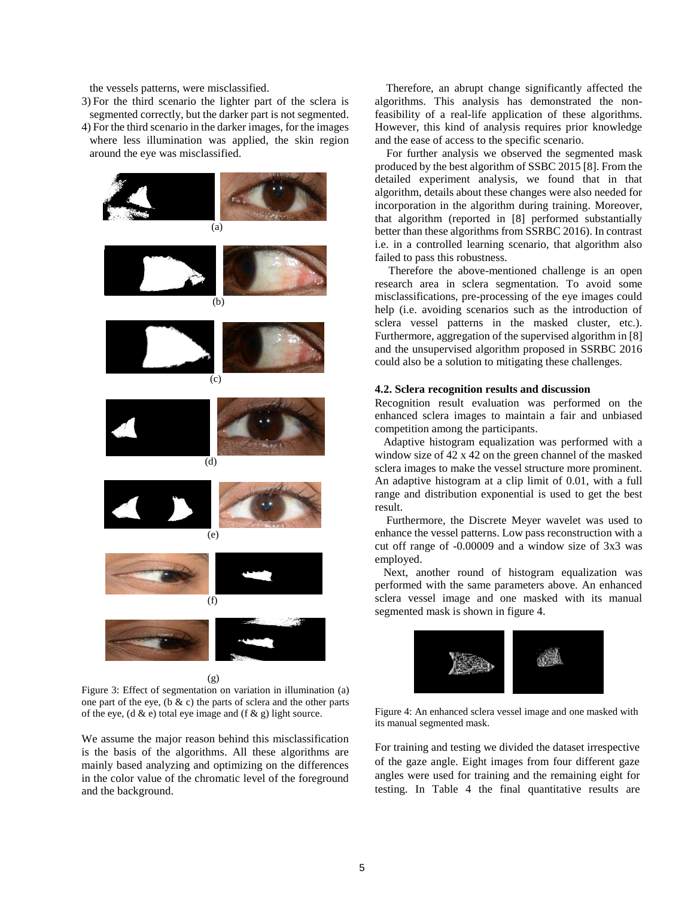the vessels patterns, were misclassified.

3) For the third scenario the lighter part of the sclera is segmented correctly, but the darker part is not segmented. 4) For the third scenario in the darker images, for the images

where less illumination was applied, the skin region around the eye was misclassified.



(g)

Figure 3: Effect of segmentation on variation in illumination (a) one part of the eye,  $(b \& c)$  the parts of sclera and the other parts of the eye, (d  $\&$  e) total eye image and (f  $\&$  g) light source.

We assume the major reason behind this misclassification is the basis of the algorithms. All these algorithms are mainly based analyzing and optimizing on the differences in the color value of the chromatic level of the foreground and the background.

 Therefore, an abrupt change significantly affected the algorithms. This analysis has demonstrated the nonfeasibility of a real-life application of these algorithms. However, this kind of analysis requires prior knowledge and the ease of access to the specific scenario.

 For further analysis we observed the segmented mask produced by the best algorithm of SSBC 2015 [8]. From the detailed experiment analysis, we found that in that algorithm, details about these changes were also needed for incorporation in the algorithm during training. Moreover, that algorithm (reported in [8] performed substantially better than these algorithms from SSRBC 2016). In contrast i.e. in a controlled learning scenario, that algorithm also failed to pass this robustness.

Therefore the above-mentioned challenge is an open research area in sclera segmentation. To avoid some misclassifications, pre-processing of the eye images could help (i.e. avoiding scenarios such as the introduction of sclera vessel patterns in the masked cluster, etc.). Furthermore, aggregation of the supervised algorithm in [8] and the unsupervised algorithm proposed in SSRBC 2016 could also be a solution to mitigating these challenges.

#### **4.2. Sclera recognition results and discussion**

Recognition result evaluation was performed on the enhanced sclera images to maintain a fair and unbiased competition among the participants.

 Adaptive histogram equalization was performed with a window size of 42 x 42 on the green channel of the masked sclera images to make the vessel structure more prominent. An adaptive histogram at a clip limit of 0.01, with a full range and distribution exponential is used to get the best result.

 Furthermore, the Discrete Meyer wavelet was used to enhance the vessel patterns. Low pass reconstruction with a cut off range of -0.00009 and a window size of 3x3 was employed.

 Next, another round of histogram equalization was performed with the same parameters above. An enhanced sclera vessel image and one masked with its manual segmented mask is shown in figure 4.



Figure 4: An enhanced sclera vessel image and one masked with its manual segmented mask.

For training and testing we divided the dataset irrespective of the gaze angle. Eight images from four different gaze angles were used for training and the remaining eight for testing. In Table 4 the final quantitative results are